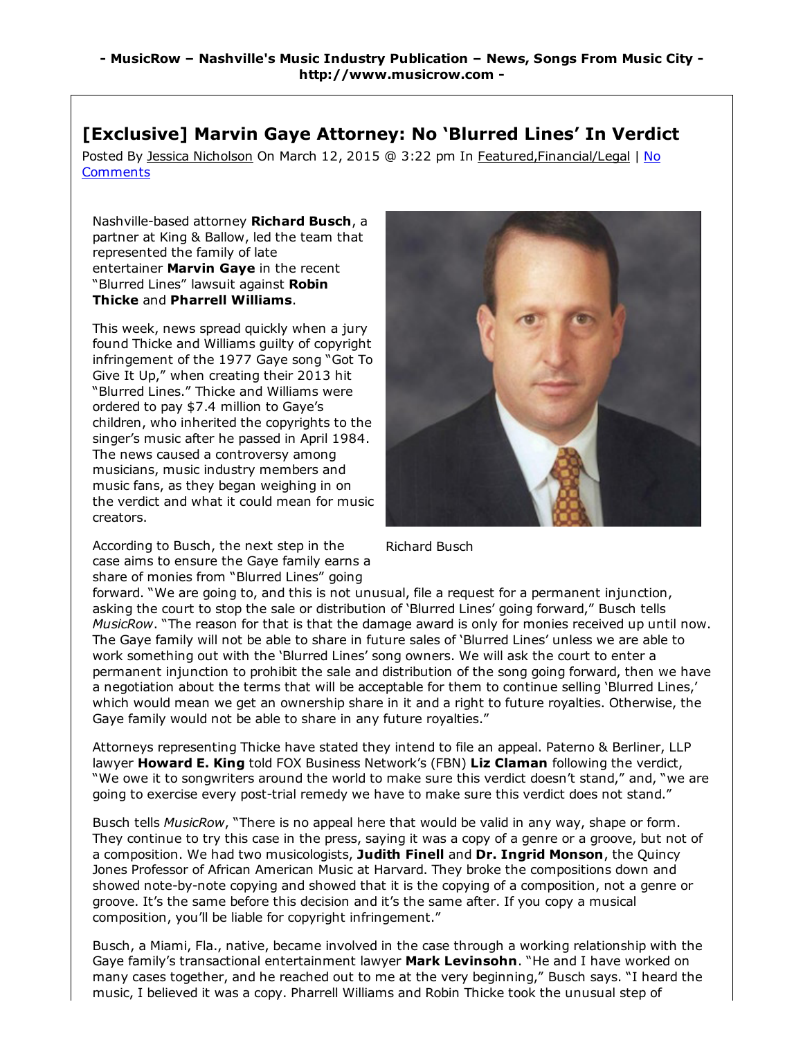## [Exclusive] Marvin Gaye Attorney: No 'Blurred Lines' In Verdict

Posted By Jessica Nicholson On March 12, 2015 @ 3:22 pm In Featured, Financial/Legal | No **Comments** 

Nashville-based attorney Richard Busch, a partner at King & Ballow, led the team that represented the family of late entertainer Marvin Gave in the recent "Blurred Lines" lawsuit against Robin Thicke and Pharrell Williams.

This week, news spread quickly when a jury found Thicke and Williams guilty of copyright infringement of the 1977 Gaye song "Got To Give It Up," when creating their 2013 hit "Blurred Lines." Thicke and Williams were ordered to pay \$7.4 million to Gaye's children, who inherited the copyrights to the singer's music after he passed in April 1984. The news caused a controversy among musicians, music industry members and music fans, as they began weighing in on the verdict and what it could mean for music creators.

According to Busch, the next step in the case aims to ensure the Gaye family earns a share of monies from "Blurred Lines" going



Richard Busch

forward. "We are going to, and this is not unusual, file a request for a permanent injunction, asking the court to stop the sale or distribution of 'Blurred Lines' going forward," Busch tells *MusicRow*. "The reason for that is that the damage award is only for monies received up until now. The Gaye family will not be able to share in future sales of 'Blurred Lines' unless we are able to work something out with the 'Blurred Lines' song owners. We will ask the court to enter a permanent injunction to prohibit the sale and distribution of the song going forward, then we have a negotiation about the terms that will be acceptable for them to continue selling 'Blurred Lines,' which would mean we get an ownership share in it and a right to future royalties. Otherwise, the Gaye family would not be able to share in any future royalties."

Attorneys representing Thicke have stated they intend to file an appeal. Paterno & Berliner, LLP lawyer Howard E. King told FOX Business Network's (FBN) Liz Claman following the verdict, "We owe it to songwriters around the world to make sure this verdict doesn't stand," and, "we are going to exercise every post-trial remedy we have to make sure this verdict does not stand."

Busch tells *MusicRow*, "There is no appeal here that would be valid in any way, shape or form. They continue to try this case in the press, saying it was a copy of a genre or a groove, but not of a composition. We had two musicologists, Judith Finell and Dr. Ingrid Monson, the Quincy Jones Professor of African American Music at Harvard. They broke the compositions down and showed note-by-note copying and showed that it is the copying of a composition, not a genre or groove. It's the same before this decision and it's the same after. If you copy a musical composition, you'll be liable for copyright infringement."

Busch, a Miami, Fla., native, became involved in the case through a working relationship with the Gaye family's transactional entertainment lawyer Mark Levinsohn. "He and I have worked on many cases together, and he reached out to me at the very beginning," Busch says. "I heard the music, I believed it was a copy. Pharrell Williams and Robin Thicke took the unusual step of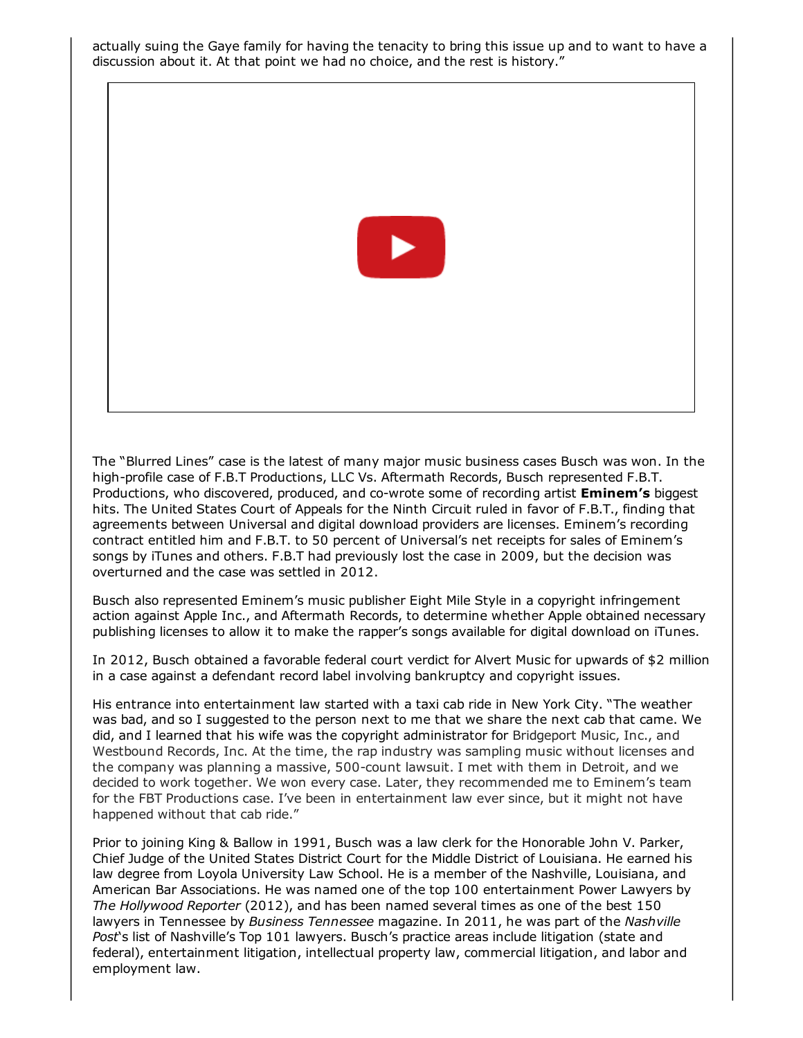actually suing the Gaye family for having the tenacity to bring this issue up and to want to have a discussion about it. At that point we had no choice, and the rest is history."



The "Blurred Lines" case is the latest of many major music business cases Busch was won. In the high-profile case of F.B.T Productions, LLC Vs. Aftermath Records, Busch represented F.B.T. Productions, who discovered, produced, and co-wrote some of recording artist **Eminem's** biggest hits. The United States Court of Appeals for the Ninth Circuit ruled in favor of F.B.T., finding that agreements between Universal and digital download providers are licenses. Eminem's recording contract entitled him and F.B.T. to 50 percent of Universal's net receipts for sales of Eminem's songs by iTunes and others. F.B.T had previously lost the case in 2009, but the decision was overturned and the case was settled in 2012.

Busch also represented Eminem's music publisher Eight Mile Style in a copyright infringement action against Apple Inc., and Aftermath Records, to determine whether Apple obtained necessary publishing licenses to allow it to make the rapper's songs available for digital download on iTunes.

In 2012, Busch obtained a favorable federal court verdict for Alvert Music for upwards of \$2 million in a case against a defendant record label involving bankruptcy and copyright issues.

His entrance into entertainment law started with a taxi cab ride in New York City. "The weather was bad, and so I suggested to the person next to me that we share the next cab that came. We did, and I learned that his wife was the copyright administrator for Bridgeport Music, Inc., and Westbound Records, Inc. At the time, the rap industry was sampling music without licenses and the company was planning a massive, 500-count lawsuit. I met with them in Detroit, and we decided to work together. We won every case. Later, they recommended me to Eminem's team for the FBT Productions case. I've been in entertainment law ever since, but it might not have happened without that cab ride."

Prior to joining King & Ballow in 1991, Busch was a law clerk for the Honorable John V. Parker, Chief Judge of the United States District Court for the Middle District of Louisiana. He earned his law degree from Loyola University Law School. He is a member of the Nashville, Louisiana, and American Bar Associations. He was named one of the top 100 entertainment Power Lawyers by *The Hollywood Reporter* (2012), and has been named several times as one of the best 150 lawyers in Tennessee by *Business Tennessee* magazine. In 2011, he was part of the *Nashville Post*'s list of Nashville's Top 101 lawyers. Busch's practice areas include litigation (state and federal), entertainment litigation, intellectual property law, commercial litigation, and labor and employment law.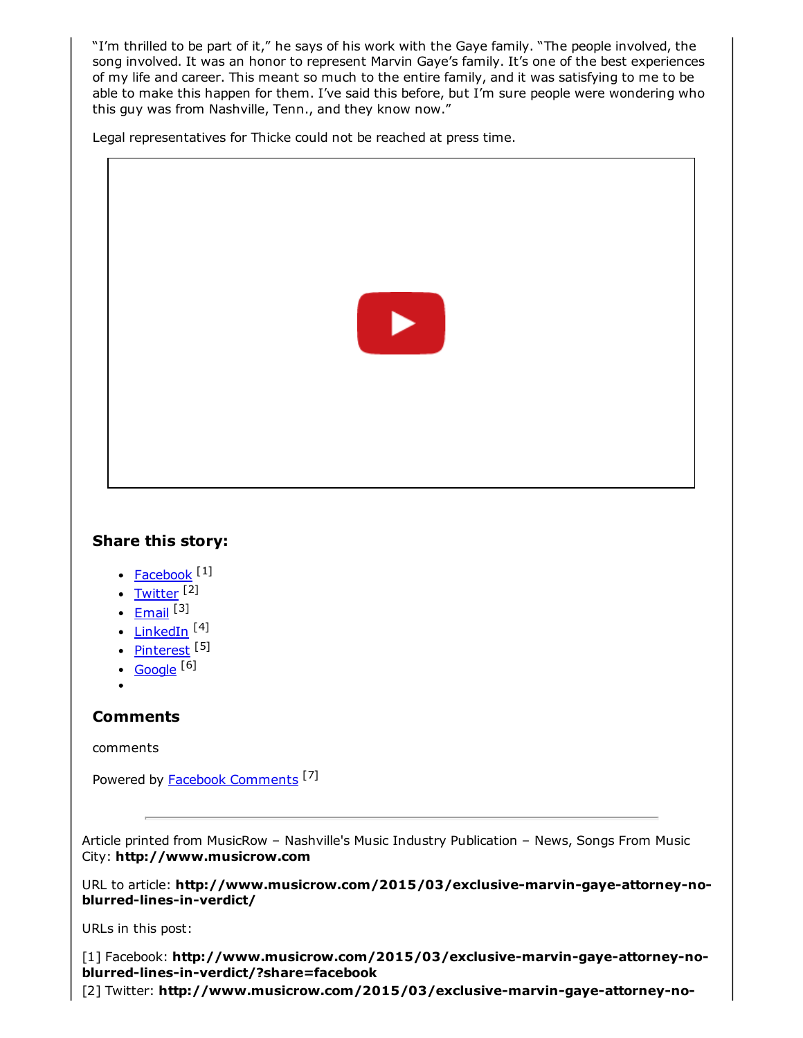"I'm thrilled to be part of it," he says of his work with the Gaye family. "The people involved, the song involved. It was an honor to represent Marvin Gaye's family. It's one of the best experiences of my life and career. This meant so much to the entire family, and it was satisfying to me to be able to make this happen for them. I've said this before, but I'm sure people were wondering who this guy was from Nashville, Tenn., and they know now."

Legal representatives for Thicke could not be reached at press time.



## Share this story:

- [Facebook](http://www.musicrow.com/2015/03/exclusive-marvin-gaye-attorney-no-blurred-lines-in-verdict/?share=facebook) [1]
- [Twitter](http://www.musicrow.com/2015/03/exclusive-marvin-gaye-attorney-no-blurred-lines-in-verdict/?share=twitter) [2]
- [Email](http://www.musicrow.com/2015/03/exclusive-marvin-gaye-attorney-no-blurred-lines-in-verdict/?share=email) <sup>[3]</sup>
- [LinkedIn](http://www.musicrow.com/2015/03/exclusive-marvin-gaye-attorney-no-blurred-lines-in-verdict/?share=linkedin) <sup>[4]</sup>
- <u>[Pinterest](http://www.musicrow.com/2015/03/exclusive-marvin-gaye-attorney-no-blurred-lines-in-verdict/?share=pinterest)</u> [5]
- [Google](http://www.musicrow.com/2015/03/exclusive-marvin-gaye-attorney-no-blurred-lines-in-verdict/?share=google-plus-1) [6]
- 

## **Comments**

## comments

Powered by **Facebook [Comments](http://peadig.com/wordpress-plugins/facebook-comments/)** <sup>[7]</sup>

Article printed from MusicRow – Nashville's Music Industry Publication – News, Songs From Music City: http://www.musicrow.com

URL to article: http://www.musicrow.com/2015/03/exclusive-marvin-gaye-attorney-noblurred-lines-in-verdict/

URLs in this post:

[1] Facebook: http://www.musicrow.com/2015/03/exclusive-marvin-gaye-attorney-noblurred-lines-in-verdict/?share=facebook

[2] Twitter: http://www.musicrow.com/2015/03/exclusive-marvin-gaye-attorney-no-